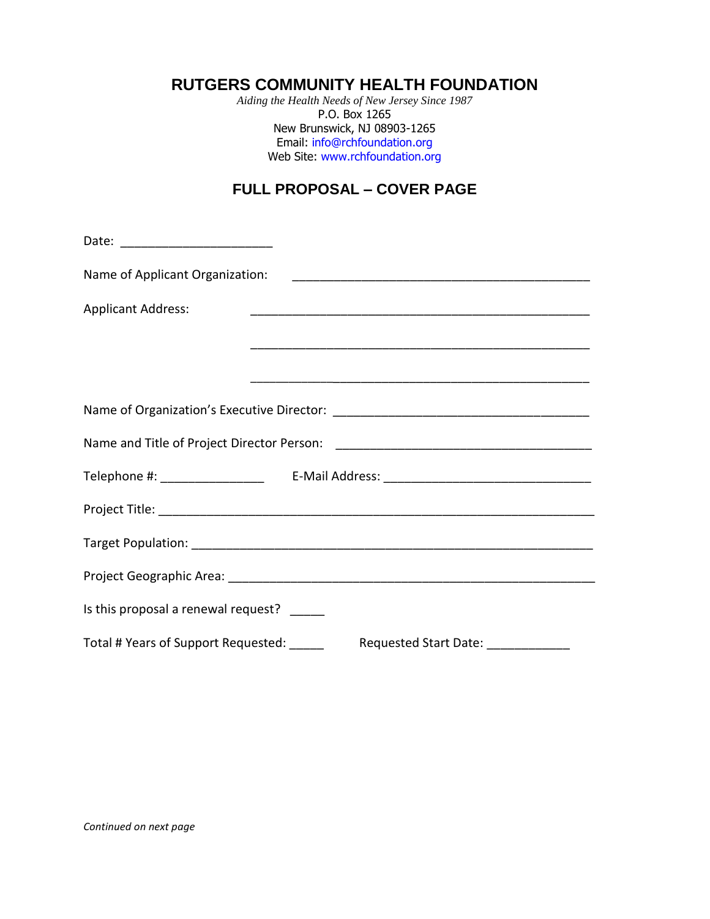# **RUTGERS COMMUNITY HEALTH FOUNDATION**

*Aiding the Health Needs of New Jersey Since 1987* P.O. Box 1265 New Brunswick, NJ 08903-1265 Email: [info@rchfoundation.org](mailto:info@rchfoundation.org) Web Site: [www.rchfoundation.org](http://www.rchfoundation.org/)

# **FULL PROPOSAL – COVER PAGE**

| Name of Applicant Organization:           |                       |  |  |  |
|-------------------------------------------|-----------------------|--|--|--|
| <b>Applicant Address:</b>                 |                       |  |  |  |
|                                           |                       |  |  |  |
|                                           |                       |  |  |  |
|                                           |                       |  |  |  |
|                                           |                       |  |  |  |
|                                           |                       |  |  |  |
|                                           |                       |  |  |  |
|                                           |                       |  |  |  |
|                                           |                       |  |  |  |
| Is this proposal a renewal request?       |                       |  |  |  |
| Total # Years of Support Requested: _____ | Requested Start Date: |  |  |  |

*Continued on next page*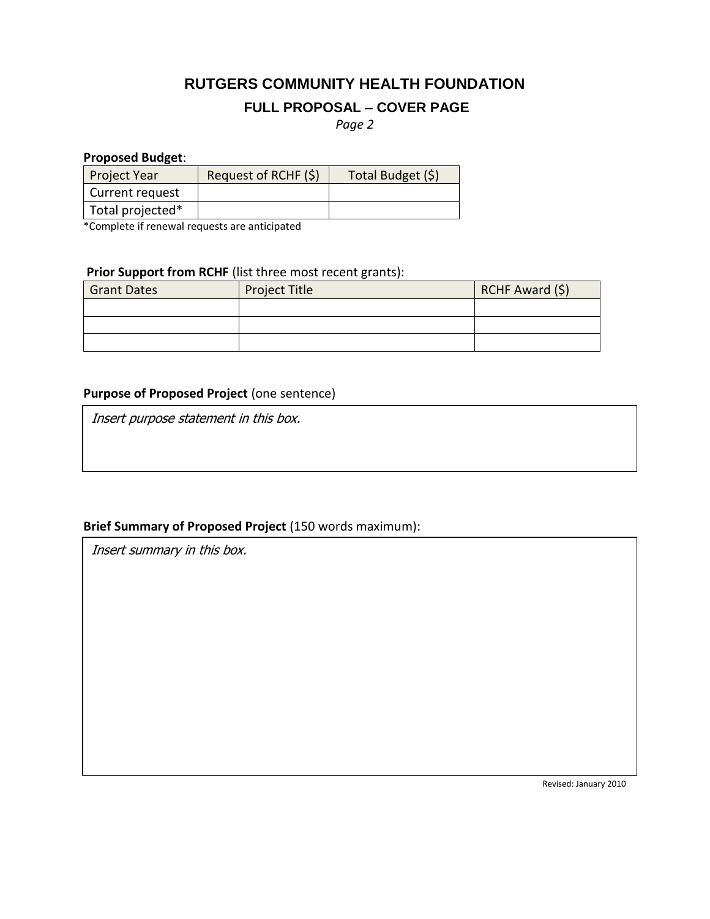# **RUTGERS COMMUNITY HEALTH FOUNDATION**

# **FULL PROPOSAL – COVER PAGE**

*Page 2*

#### **Proposed Budget**:

| <b>Project Year</b> | Request of RCHF (\$) | Total Budget (\$) |
|---------------------|----------------------|-------------------|
| Current request     |                      |                   |
| Total projected*    |                      |                   |

\*Complete if renewal requests are anticipated

## **Prior Support from RCHF** (list three most recent grants):

| <b>Grant Dates</b> | <b>Project Title</b> | RCHF Award (\$) |
|--------------------|----------------------|-----------------|
|                    |                      |                 |
|                    |                      |                 |
|                    |                      |                 |

# **Purpose of Proposed Project** (one sentence)

Insert purpose statement in this box.

### **Brief Summary of Proposed Project** (150 words maximum):

Insert summary in this box.

Revised: January 2010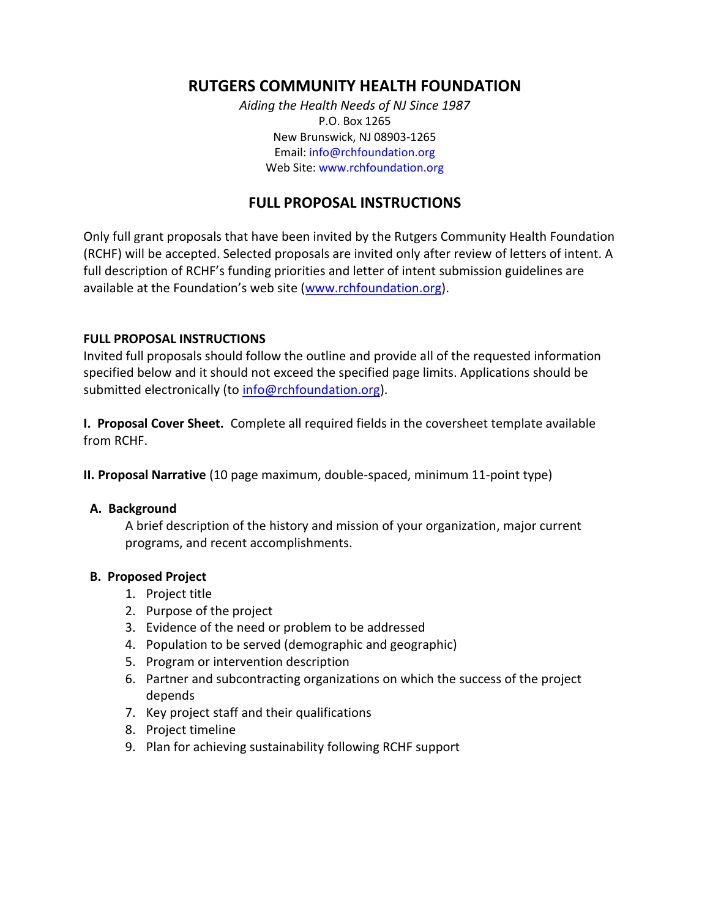# **RUTGERS COMMUNITY HEALTH FOUNDATION**

*Aiding the Health Needs of NJ Since 1987* P.O. Box 1265 New Brunswick, NJ 08903-1265 Email[: info@rchfoundation.org](mailto:info@rchfoundation.org) Web Site: [www.rchfoundation.org](http://www.rchfoundation.org/)

# **FULL PROPOSAL INSTRUCTIONS**

Only full grant proposals that have been invited by the Rutgers Community Health Foundation (RCHF) will be accepted. Selected proposals are invited only after review of letters of intent. A full description of RCHF's funding priorities and letter of intent submission guidelines are available at the Foundation's web site ([www.rchfoundation.org\)](http://www.rchfoundation.org/).

#### **FULL PROPOSAL INSTRUCTIONS**

Invited full proposals should follow the outline and provide all of the requested information specified below and it should not exceed the specified page limits. Applications should be submitted electronically (to [info@rchfoundation.org\)](mailto:info@rchfoundation.org).

**I. Proposal Cover Sheet.** Complete all required fields in the coversheet template available from RCHF.

**II. Proposal Narrative** (10 page maximum, double-spaced, minimum 11-point type)

#### **A. Background**

A brief description of the history and mission of your organization, major current programs, and recent accomplishments.

#### **B. Proposed Project**

- 1. Project title
- 2. Purpose of the project
- 3. Evidence of the need or problem to be addressed
- 4. Population to be served (demographic and geographic)
- 5. Program or intervention description
- 6. Partner and subcontracting organizations on which the success of the project depends
- 7. Key project staff and their qualifications
- 8. Project timeline
- 9. Plan for achieving sustainability following RCHF support